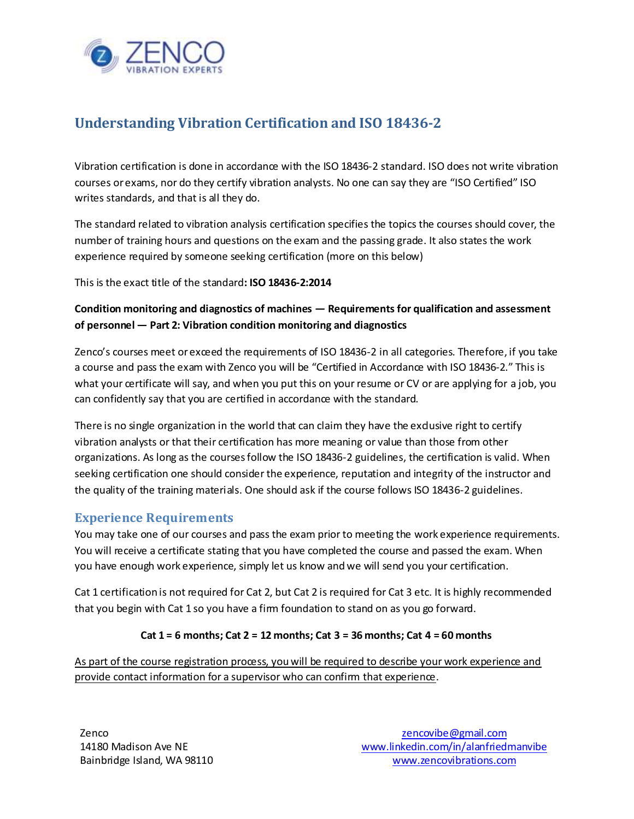

# **Understanding Vibration Certification and ISO 18436-2**

Vibration certification is done in accordance with the ISO 18436-2 standard. ISO does not write vibration courses or exams, nor do they certify vibration analysts. No one can say they are "ISO Certified" ISO writes standards, and that is all they do.

The standard related to vibration analysis certification specifies the topics the courses should cover, the number of training hours and questions on the exam and the passing grade. It also states the work experience required by someone seeking certification (more on this below)

This is the exact title of the standard**: ISO 18436-2:2014**

### **Condition monitoring and diagnostics of machines — Requirements for qualification and assessment of personnel — Part 2: Vibration condition monitoring and diagnostics**

Zenco's courses meet or exceed the requirements of ISO 18436-2 in all categories. Therefore, if you take a course and pass the exam with Zenco you will be "Certified in Accordance with ISO 18436-2." This is what your certificate will say, and when you put this on your resume or CV or are applying for a job, you can confidently say that you are certified in accordance with the standard.

There is no single organization in the world that can claim they have the exdusive right to certify vibration analysts or that their certification has more meaning or value than those from other organizations. As long as the courses follow the ISO 18436-2 guidelines, the certification is valid. When seeking certification one should consider the experience, reputation and integrity of the instructor and the quality of the training materials. One should ask if the course follows ISO 18436-2 guidelines.

# **Experience Requirements**

You may take one of our courses and pass the exam prior to meeting the work experience requirements. You will receive a certificate stating that you have completed the course and passed the exam. When you have enough work experience, simply let us know and we will send you your certification.

Cat 1 certification is not required for Cat 2, but Cat 2 is required for Cat 3 etc. It is highly recommended that you begin with Cat 1 so you have a firm foundation to stand on as you go forward.

### **Cat 1 = 6 months; Cat 2 = 12 months; Cat 3 = 36 months; Cat 4 = 60 months**

As part of the course registration process, you will be required to describe your work experience and provide contact information for a supervisor who can confirm that experience.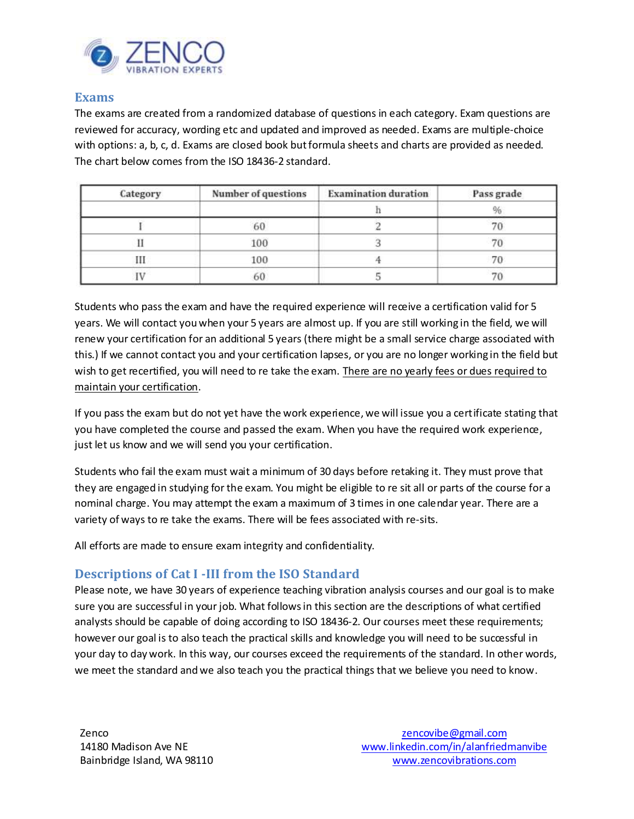

### **Exams**

The exams are created from a randomized database of questions in each category. Exam questions are reviewed for accuracy, wording etc and updated and improved as needed. Exams are multiple-choice with options: a, b, c, d. Exams are closed book but formula sheets and charts are provided as needed. The chart below comes from the ISO 18436-2 standard.

| Category | Number of questions | <b>Examination duration</b> | Pass grade |
|----------|---------------------|-----------------------------|------------|
|          |                     |                             |            |
|          | 100                 |                             |            |
| Ш        | 100                 |                             |            |
|          | 60                  |                             |            |

Students who pass the exam and have the required experience will receive a certification valid for 5 years. We will contact you when your 5 years are almost up. If you are still working in the field, we will renew your certification for an additional 5 years (there might be a small service charge associated with this.) If we cannot contact you and your certification lapses, or you are no longer working in the field but wish to get recertified, you will need to re take the exam. There are no yearly fees or dues required to maintain your certification.

If you pass the exam but do not yet have the work experience, we will issue you a certificate stating that you have completed the course and passed the exam. When you have the required work experience, just let us know and we will send you your certification.

Students who fail the exam must wait a minimum of 30 days before retaking it. They must prove that they are engaged in studying for the exam. You might be eligible to re sit all or parts of the course for a nominal charge. You may attempt the exam a maximum of 3 times in one calendar year. There are a variety of ways to re take the exams. There will be fees associated with re-sits.

All efforts are made to ensure exam integrity and confidentiality.

# **Descriptions of Cat I -III from the ISO Standard**

Please note, we have 30 years of experience teaching vibration analysis courses and our goal is to make sure you are successful in your job. What follows in this section are the descriptions of what certified analysts should be capable of doing according to ISO 18436-2. Our courses meet these requirements; however our goal is to also teach the practical skills and knowledge you will need to be successful in your day to day work. In this way, our courses exceed the requirements of the standard. In other words, we meet the standard and we also teach you the practical things that we believe you need to know.

Zenco 14180 Madison Ave NE Bainbridge Island, WA 98110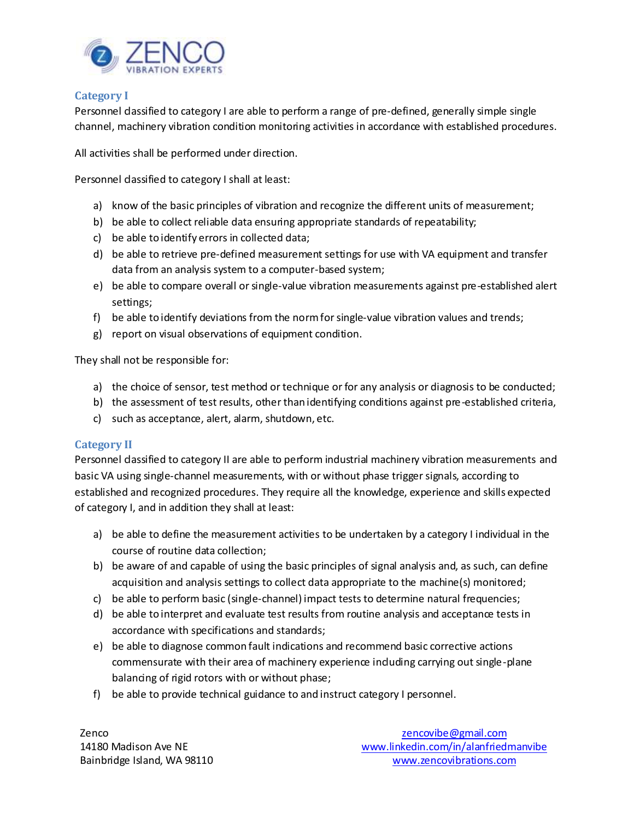

#### **Category I**

Personnel dassified to category I are able to perform a range of pre-defined, generally simple single channel, machinery vibration condition monitoring activities in accordance with established procedures.

All activities shall be performed under direction.

Personnel dassified to category I shall at least:

- a) know of the basic principles of vibration and recognize the different units of measurement;
- b) be able to collect reliable data ensuring appropriate standards of repeatability;
- c) be able to identify errors in collected data;
- d) be able to retrieve pre-defined measurement settings for use with VA equipment and transfer data from an analysis system to a computer-based system;
- e) be able to compare overall or single-value vibration measurements against pre-established alert settings;
- f) be able to identify deviations from the norm for single-value vibration values and trends;
- g) report on visual observations of equipment condition.

They shall not be responsible for:

- a) the choice of sensor, test method or technique or for any analysis or diagnosis to be conducted;
- b) the assessment of test results, other than identifying conditions against pre-established criteria,
- c) such as acceptance, alert, alarm, shutdown, etc.

#### **Category II**

Personnel dassified to category II are able to perform industrial machinery vibration measurements and basic VA using single-channel measurements, with or without phase trigger signals, according to established and recognized procedures. They require all the knowledge, experience and skills expected of category I, and in addition they shall at least:

- a) be able to define the measurement activities to be undertaken by a category I individual in the course of routine data collection;
- b) be aware of and capable of using the basic principles of signal analysis and, as such, can define acquisition and analysis settings to collect data appropriate to the machine(s) monitored;
- c) be able to perform basic (single-channel) impact tests to determine natural frequencies;
- d) be able to interpret and evaluate test results from routine analysis and acceptance tests in accordance with specifications and standards;
- e) be able to diagnose common fault indications and recommend basic corrective actions commensurate with their area of machinery experience including carrying out single-plane balancing of rigid rotors with or without phase;
- f) be able to provide technical guidance to and instruct category I personnel.